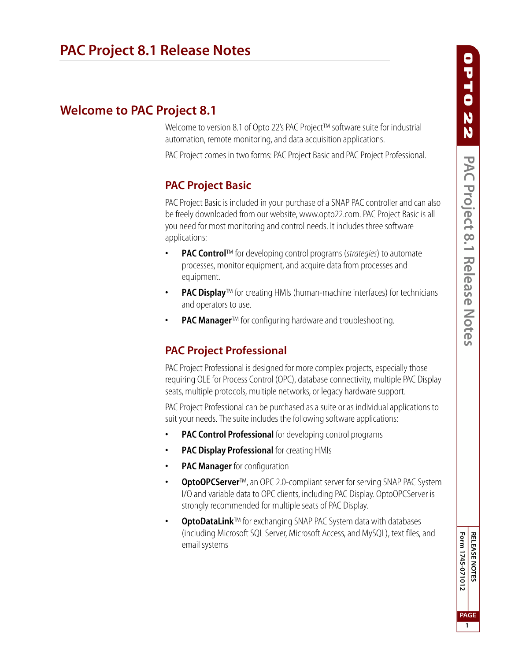# **Welcome to PAC Project 8.1**

Welcome to version 8.1 of Opto 22's PAC Project™ software suite for industrial automation, remote monitoring, and data acquisition applications.

PAC Project comes in two forms: PAC Project Basic and PAC Project Professional.

# **PAC Project Basic**

PAC Project Basic is included in your purchase of a SNAP PAC controller and can also be freely downloaded from our website, www.opto22.com. PAC Project Basic is all you need for most monitoring and control needs. It includes three software applications:

- **PAC Control**™ for developing control programs (*strategies*) to automate processes, monitor equipment, and acquire data from processes and equipment.
- **PAC Display**™ for creating HMIs (human-machine interfaces) for technicians and operators to use.
- **PAC Manager™** for configuring hardware and troubleshooting.

# **PAC Project Professional**

PAC Project Professional is designed for more complex projects, especially those requiring OLE for Process Control (OPC), database connectivity, multiple PAC Display seats, multiple protocols, multiple networks, or legacy hardware support.

PAC Project Professional can be purchased as a suite or as individual applications to suit your needs. The suite includes the following software applications:

- **PAC Control Professional** for developing control programs
- **PAC Display Professional** for creating HMIs
- **PAC Manager** for configuration
- **OptoOPCServer**™, an OPC 2.0-compliant server for serving SNAP PAC System I/O and variable data to OPC clients, including PAC Display. OptoOPCServer is strongly recommended for multiple seats of PAC Display.
- **OptoDataLink™** for exchanging SNAP PAC System data with databases (including Microsoft SQL Server, Microsoft Access, and MySQL), text files, and email systems

Form 1745-071012 **RELEASE NOTES Form 1745-071012 PAGE**

**1**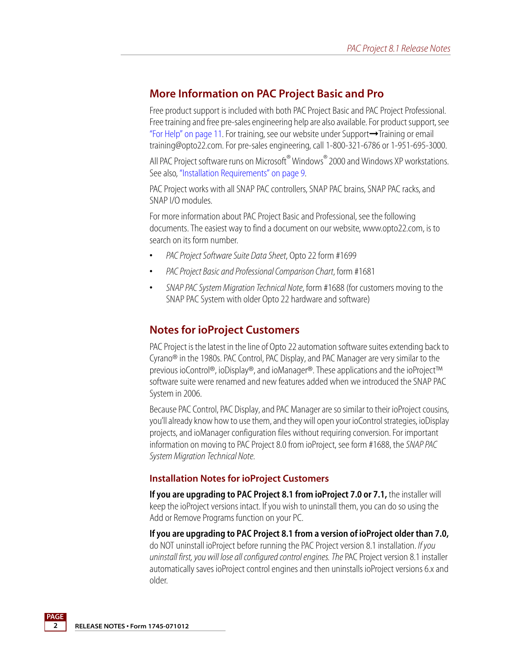### **More Information on PAC Project Basic and Pro**

Free product support is included with both PAC Project Basic and PAC Project Professional. Free training and free pre-sales engineering help are also available. For product support, see ["For Help" on page 11](#page-10-0). For training, see our website under Support➞Training or email training@opto22.com. For pre-sales engineering, call 1-800-321-6786 or 1-951-695-3000.

All PAC Project software runs on Microsoft<sup>®</sup> Windows<sup>®</sup> 2000 and Windows XP workstations. See also, ["Installation Requirements" on page 9](#page-8-0).

PAC Project works with all SNAP PAC controllers, SNAP PAC brains, SNAP PAC racks, and SNAP I/O modules.

For more information about PAC Project Basic and Professional, see the following documents. The easiest way to find a document on our website, www.opto22.com, is to search on its form number.

- **•** *PAC Project Software Suite Data Sheet*, Opto 22 form #1699
- **•** *PAC Project Basic and Professional Comparison Chart*, form #1681
- **•** *SNAP PAC System Migration Technical Note*, form #1688 (for customers moving to the SNAP PAC System with older Opto 22 hardware and software)

### **Notes for ioProject Customers**

PAC Project is the latest in the line of Opto 22 automation software suites extending back to Cyrano® in the 1980s. PAC Control, PAC Display, and PAC Manager are very similar to the previous ioControl®, ioDisplay®, and ioManager®. These applications and the ioProject™ software suite were renamed and new features added when we introduced the SNAP PAC System in 2006.

Because PAC Control, PAC Display, and PAC Manager are so similar to their ioProject cousins, you'll already know how to use them, and they will open your ioControl strategies, ioDisplay projects, and ioManager configuration files without requiring conversion. For important information on moving to PAC Project 8.0 from ioProject, see form #1688, the *SNAP PAC System Migration Technical Note*.

#### **Installation Notes for ioProject Customers**

**If you are upgrading to PAC Project 8.1 from ioProject 7.0 or 7.1,** the installer will keep the ioProject versions intact. If you wish to uninstall them, you can do so using the Add or Remove Programs function on your PC.

**If you are upgrading to PAC Project 8.1 from a version of ioProject older than 7.0,** do NOT uninstall ioProject before running the PAC Project version 8.1 installation. *If you uninstall first, you will lose all configured control engines. The* PAC Project version 8.1 installer automatically saves ioProject control engines and then uninstalls ioProject versions 6.x and older.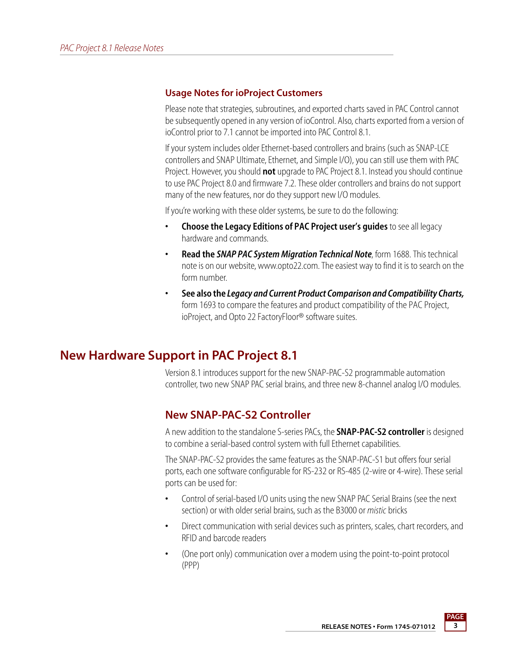#### **Usage Notes for ioProject Customers**

Please note that strategies, subroutines, and exported charts saved in PAC Control cannot be subsequently opened in any version of ioControl. Also, charts exported from a version of ioControl prior to 7.1 cannot be imported into PAC Control 8.1.

If your system includes older Ethernet-based controllers and brains (such as SNAP-LCE controllers and SNAP Ultimate, Ethernet, and Simple I/O), you can still use them with PAC Project. However, you should **not** upgrade to PAC Project 8.1. Instead you should continue to use PAC Project 8.0 and firmware 7.2. These older controllers and brains do not support many of the new features, nor do they support new I/O modules.

If you're working with these older systems, be sure to do the following:

- **Choose the Legacy Editions of PAC Project user's guides** to see all legacy hardware and commands.
- **Read the** *SNAP PAC System Migration Technical Note*, form 1688. This technical note is on our website, www.opto22.com. The easiest way to find it is to search on the form number.
- **See also the** *Legacy and Current Product Comparison and Compatibility Charts,*  form 1693 to compare the features and product compatibility of the PAC Project, ioProject, and Opto 22 FactoryFloor® software suites.

# **New Hardware Support in PAC Project 8.1**

Version 8.1 introduces support for the new SNAP-PAC-S2 programmable automation controller, two new SNAP PAC serial brains, and three new 8-channel analog I/O modules.

## **New SNAP-PAC-S2 Controller**

A new addition to the standalone S-series PACs, the **SNAP-PAC-S2 controller** is designed to combine a serial-based control system with full Ethernet capabilities.

The SNAP-PAC-S2 provides the same features as the SNAP-PAC-S1 but offers four serial ports, each one software configurable for RS-232 or RS-485 (2-wire or 4-wire). These serial ports can be used for:

- **•** Control of serial-based I/O units using the new SNAP PAC Serial Brains (see the next section) or with older serial brains, such as the B3000 or *mistic* bricks
- **•** Direct communication with serial devices such as printers, scales, chart recorders, and RFID and barcode readers
- **•** (One port only) communication over a modem using the point-to-point protocol (PPP)

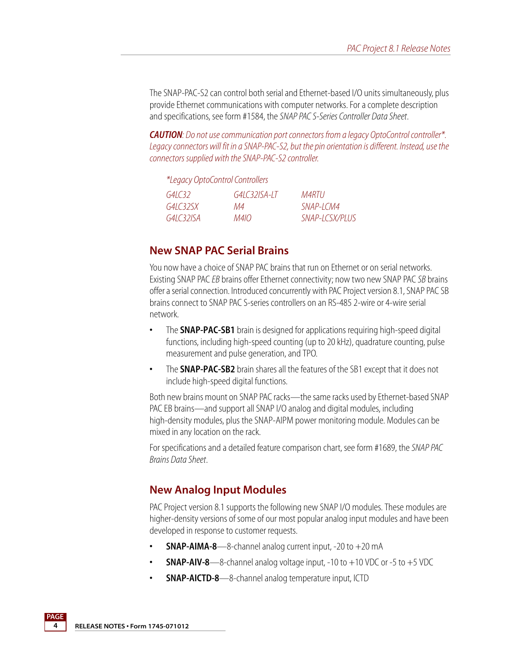The SNAP-PAC-S2 can control both serial and Ethernet-based I/O units simultaneously, plus provide Ethernet communications with computer networks. For a complete description and specifications, see form #1584, the *SNAP PAC S-Series Controller Data Sheet*.

*CAUTION: Do not use communication port connectors from a legacy OptoControl controller\*. Legacy connectors will fit in a SNAP-PAC-S2, but the pin orientation is different. Instead, use the connectors supplied with the SNAP-PAC-S2 controller.*

|           | *Legacy OptoControl Controllers |                |
|-----------|---------------------------------|----------------|
| G4C32     | $G41C32ISA-1T$                  | M4RTU.         |
| G4IG325X  | М4                              | SNAP-I CM4     |
| G4IC32ISA | M410.                           | SNAP-LCSX/PLUS |

### **New SNAP PAC Serial Brains**

You now have a choice of SNAP PAC brains that run on Ethernet or on serial networks. Existing SNAP PAC *EB* brains offer Ethernet connectivity; now two new SNAP PAC *SB* brains offer a serial connection. Introduced concurrently with PAC Project version 8.1, SNAP PAC SB brains connect to SNAP PAC S-series controllers on an RS-485 2-wire or 4-wire serial network.

- **•** The **SNAP-PAC-SB1** brain is designed for applications requiring high-speed digital functions, including high-speed counting (up to 20 kHz), quadrature counting, pulse measurement and pulse generation, and TPO.
- **•** The **SNAP-PAC-SB2** brain shares all the features of the SB1 except that it does not include high-speed digital functions.

Both new brains mount on SNAP PAC racks—the same racks used by Ethernet-based SNAP PAC EB brains—and support all SNAP I/O analog and digital modules, including high-density modules, plus the SNAP-AIPM power monitoring module. Modules can be mixed in any location on the rack.

For specifications and a detailed feature comparison chart, see form #1689, the *SNAP PAC Brains Data Sheet*.

## **New Analog Input Modules**

PAC Project version 8.1 supports the following new SNAP I/O modules. These modules are higher-density versions of some of our most popular analog input modules and have been developed in response to customer requests.

- **SNAP-AIMA-8**—8-channel analog current input, -20 to +20 mA
- **SNAP-AIV-8**—8-channel analog voltage input,  $-10$  to  $+10$  VDC or  $-5$  to  $+5$  VDC
- **SNAP-AICTD-8**—8-channel analog temperature input, ICTD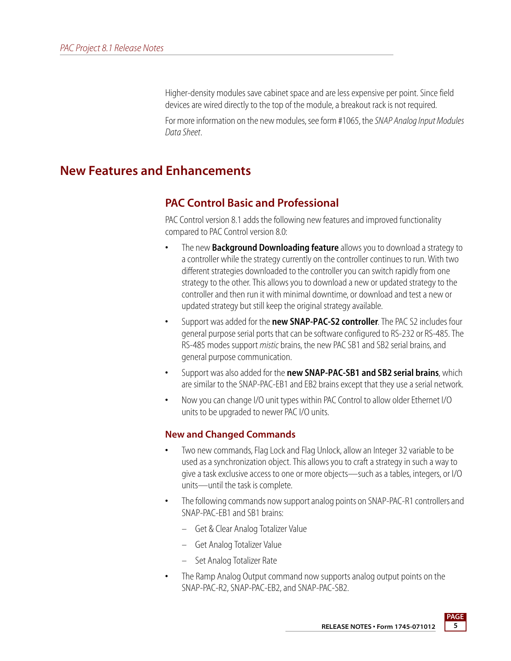Higher-density modules save cabinet space and are less expensive per point. Since field devices are wired directly to the top of the module, a breakout rack is not required.

For more information on the new modules, see form #1065, the *SNAP Analog Input Modules Data Sheet*.

# **New Features and Enhancements**

## **PAC Control Basic and Professional**

PAC Control version 8.1 adds the following new features and improved functionality compared to PAC Control version 8.0:

- **•** The new **Background Downloading feature** allows you to download a strategy to a controller while the strategy currently on the controller continues to run. With two different strategies downloaded to the controller you can switch rapidly from one strategy to the other. This allows you to download a new or updated strategy to the controller and then run it with minimal downtime, or download and test a new or updated strategy but still keep the original strategy available.
- **•** Support was added for the **new SNAP-PAC-S2 controller**. The PAC S2 includes four general purpose serial ports that can be software configured to RS-232 or RS-485. The RS-485 modes support *mistic* brains, the new PAC SB1 and SB2 serial brains, and general purpose communication.
- **•** Support was also added for the **new SNAP-PAC-SB1 and SB2 serial brains**, which are similar to the SNAP-PAC-EB1 and EB2 brains except that they use a serial network.
- **•** Now you can change I/O unit types within PAC Control to allow older Ethernet I/O units to be upgraded to newer PAC I/O units.

### **New and Changed Commands**

- **•** Two new commands, Flag Lock and Flag Unlock, allow an Integer 32 variable to be used as a synchronization object. This allows you to craft a strategy in such a way to give a task exclusive access to one or more objects—such as a tables, integers, or I/O units—until the task is complete.
- **•** The following commands now support analog points on SNAP-PAC-R1 controllers and SNAP-PAC-EB1 and SB1 brains:
	- Get & Clear Analog Totalizer Value
	- Get Analog Totalizer Value
	- Set Analog Totalizer Rate
- **•** The Ramp Analog Output command now supports analog output points on the SNAP-PAC-R2, SNAP-PAC-EB2, and SNAP-PAC-SB2.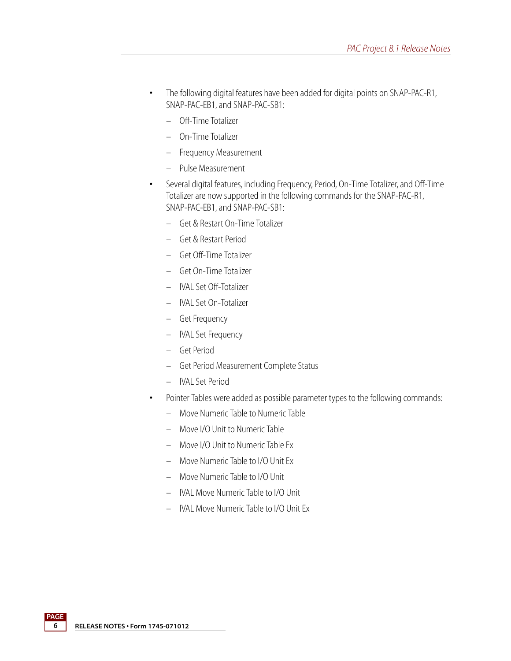- **•** The following digital features have been added for digital points on SNAP-PAC-R1, SNAP-PAC-EB1, and SNAP-PAC-SB1:
	- Off-Time Totalizer
	- On-Time Totalizer
	- Frequency Measurement
	- Pulse Measurement
- **•** Several digital features, including Frequency, Period, On-Time Totalizer, and Off-Time Totalizer are now supported in the following commands for the SNAP-PAC-R1, SNAP-PAC-EB1, and SNAP-PAC-SB1:
	- Get & Restart On-Time Totalizer
	- Get & Restart Period
	- Get Off-Time Totalizer
	- Get On-Time Totalizer
	- IVAL Set Off-Totalizer
	- IVAL Set On-Totalizer
	- Get Frequency
	- IVAL Set Frequency
	- Get Period
	- Get Period Measurement Complete Status
	- IVAL Set Period
- **•** Pointer Tables were added as possible parameter types to the following commands:
	- Move Numeric Table to Numeric Table
	- Move I/O Unit to Numeric Table
	- Move I/O Unit to Numeric Table Ex
	- Move Numeric Table to I/O Unit Ex
	- Move Numeric Table to I/O Unit
	- IVAL Move Numeric Table to I/O Unit
	- IVAL Move Numeric Table to I/O Unit Ex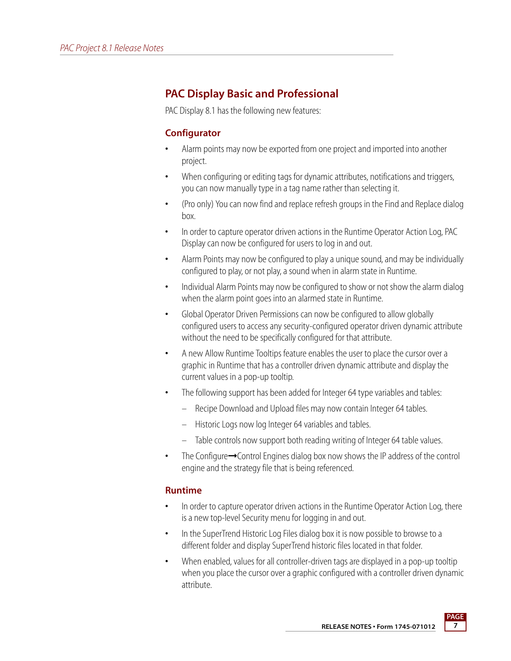## **PAC Display Basic and Professional**

PAC Display 8.1 has the following new features:

### **Configurator**

- **•** Alarm points may now be exported from one project and imported into another project.
- **•** When configuring or editing tags for dynamic attributes, notifications and triggers, you can now manually type in a tag name rather than selecting it.
- **•** (Pro only) You can now find and replace refresh groups in the Find and Replace dialog box.
- **•** In order to capture operator driven actions in the Runtime Operator Action Log, PAC Display can now be configured for users to log in and out.
- **•** Alarm Points may now be configured to play a unique sound, and may be individually configured to play, or not play, a sound when in alarm state in Runtime.
- **•** Individual Alarm Points may now be configured to show or not show the alarm dialog when the alarm point goes into an alarmed state in Runtime.
- **•** Global Operator Driven Permissions can now be configured to allow globally configured users to access any security-configured operator driven dynamic attribute without the need to be specifically configured for that attribute.
- **•** A new Allow Runtime Tooltips feature enables the user to place the cursor over a graphic in Runtime that has a controller driven dynamic attribute and display the current values in a pop-up tooltip.
- **•** The following support has been added for Integer 64 type variables and tables:
	- Recipe Download and Upload files may now contain Integer 64 tables.
	- Historic Logs now log Integer 64 variables and tables.
	- Table controls now support both reading writing of Integer 64 table values.
- **•** The Configure➞Control Engines dialog box now shows the IP address of the control engine and the strategy file that is being referenced.

#### **Runtime**

- **•** In order to capture operator driven actions in the Runtime Operator Action Log, there is a new top-level Security menu for logging in and out.
- **•** In the SuperTrend Historic Log Files dialog box it is now possible to browse to a different folder and display SuperTrend historic files located in that folder.
- **•** When enabled, values for all controller-driven tags are displayed in a pop-up tooltip when you place the cursor over a graphic configured with a controller driven dynamic attribute.

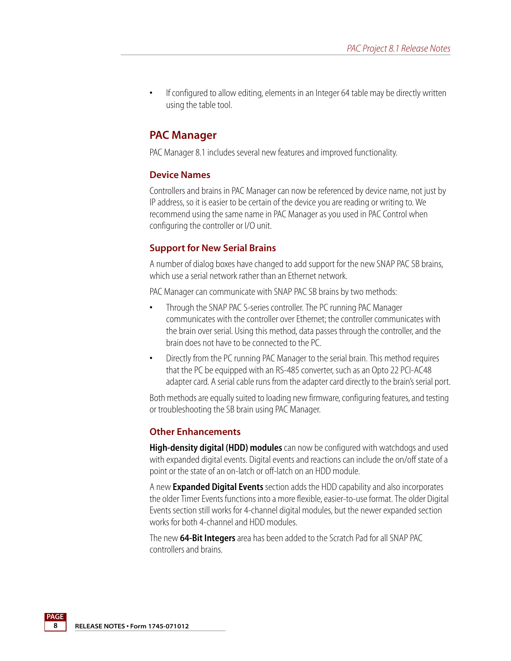**•** If configured to allow editing, elements in an Integer 64 table may be directly written using the table tool.

### **PAC Manager**

PAC Manager 8.1 includes several new features and improved functionality.

#### **Device Names**

Controllers and brains in PAC Manager can now be referenced by device name, not just by IP address, so it is easier to be certain of the device you are reading or writing to. We recommend using the same name in PAC Manager as you used in PAC Control when configuring the controller or I/O unit.

### **Support for New Serial Brains**

A number of dialog boxes have changed to add support for the new SNAP PAC SB brains, which use a serial network rather than an Ethernet network.

PAC Manager can communicate with SNAP PAC SB brains by two methods:

- **•** Through the SNAP PAC S-series controller. The PC running PAC Manager communicates with the controller over Ethernet; the controller communicates with the brain over serial. Using this method, data passes through the controller, and the brain does not have to be connected to the PC.
- **•** Directly from the PC running PAC Manager to the serial brain. This method requires that the PC be equipped with an RS-485 converter, such as an Opto 22 PCI-AC48 adapter card. A serial cable runs from the adapter card directly to the brain's serial port.

Both methods are equally suited to loading new firmware, configuring features, and testing or troubleshooting the SB brain using PAC Manager.

#### **Other Enhancements**

**High-density digital (HDD) modules** can now be configured with watchdogs and used with expanded digital events. Digital events and reactions can include the on/off state of a point or the state of an on-latch or off-latch on an HDD module.

A new **Expanded Digital Events** section adds the HDD capability and also incorporates the older Timer Events functions into a more flexible, easier-to-use format. The older Digital Events section still works for 4-channel digital modules, but the newer expanded section works for both 4-channel and HDD modules.

The new **64-Bit Integers** area has been added to the Scratch Pad for all SNAP PAC controllers and brains.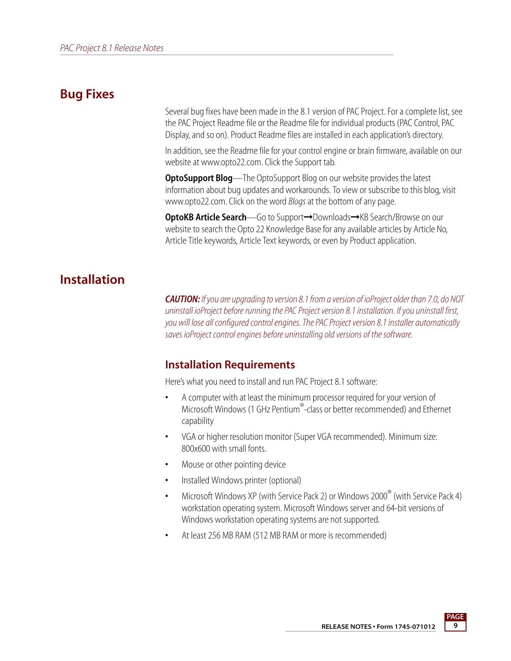## **Bug Fixes**

Several bug fixes have been made in the 8.1 version of PAC Project. For a complete list, see the PAC Project Readme file or the Readme file for individual products (PAC Control, PAC Display, and so on). Product Readme files are installed in each application's directory.

In addition, see the Readme file for your control engine or brain firmware, available on our website at www.opto22.com. Click the Support tab.

**OptoSupport Blog**—The OptoSupport Blog on our website provides the latest information about bug updates and workarounds. To view or subscribe to this blog, visit www.opto22.com. Click on the word *Blogs* at the bottom of any page.

**OptoKB Article Search**—Go to Support→Downloads→KB Search/Browse on our website to search the Opto 22 Knowledge Base for any available articles by Article No, Article Title keywords, Article Text keywords, or even by Product application.

# **Installation**

*CAUTION: If you are upgrading to version 8.1 from a version of ioProject older than 7.0, do NOT uninstall ioProject before running the PAC Project version 8.1 installation. If you uninstall first, you will lose all configured control engines. The PAC Project version 8.1 installer automatically saves ioProject control engines before uninstalling old versions of the software.* 

## <span id="page-8-0"></span>**Installation Requirements**

Here's what you need to install and run PAC Project 8.1 software:

- **•** A computer with at least the minimum processor required for your version of Microsoft Windows (1 GHz Pentium®-class or better recommended) and Ethernet capability
- **•** VGA or higher resolution monitor (Super VGA recommended). Minimum size: 800x600 with small fonts.
- **•** Mouse or other pointing device
- **•** Installed Windows printer (optional)
- **•** Microsoft Windows XP (with Service Pack 2) or Windows 2000® (with Service Pack 4) workstation operating system. Microsoft Windows server and 64-bit versions of Windows workstation operating systems are not supported.
- **•** At least 256 MB RAM (512 MB RAM or more is recommended)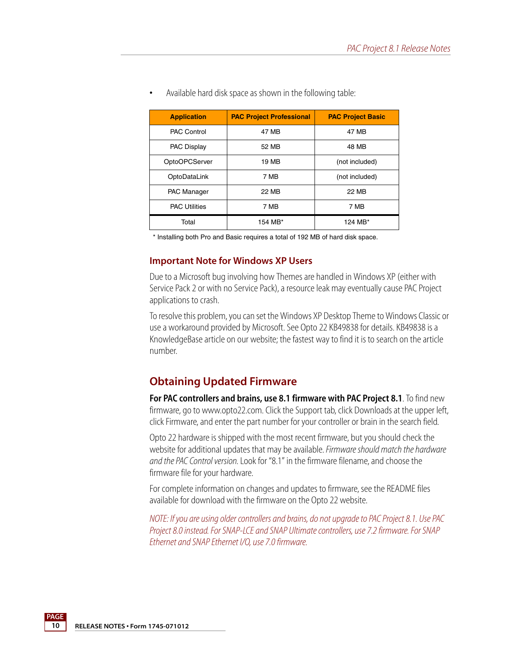| <b>Application</b>   | <b>PAC Project Professional</b> | <b>PAC Project Basic</b> |
|----------------------|---------------------------------|--------------------------|
| <b>PAC Control</b>   | 47 MB                           | 47 MB                    |
| <b>PAC Display</b>   | 52 MB                           | 48 MB                    |
| OptoOPCServer        | 19 MB                           | (not included)           |
| OptoDataLink         | 7 MB                            | (not included)           |
| <b>PAC Manager</b>   | 22 MB                           | 22 MB                    |
| <b>PAC Utilities</b> | 7 MB                            | 7 MB                     |
| Total                | 154 MB*                         | 124 MB*                  |

**•** Available hard disk space as shown in the following table:

\* Installing both Pro and Basic requires a total of 192 MB of hard disk space.

#### **Important Note for Windows XP Users**

Due to a Microsoft bug involving how Themes are handled in Windows XP (either with Service Pack 2 or with no Service Pack), a resource leak may eventually cause PAC Project applications to crash.

To resolve this problem, you can set the Windows XP Desktop Theme to Windows Classic or use a workaround provided by Microsoft. See Opto 22 KB49838 for details. KB49838 is a KnowledgeBase article on our website; the fastest way to find it is to search on the article number.

## **Obtaining Updated Firmware**

For PAC controllers and brains, use 8.1 firmware with PAC Project 8.1. To find new firmware, go to www.opto22.com. Click the Support tab, click Downloads at the upper left, click Firmware, and enter the part number for your controller or brain in the search field.

Opto 22 hardware is shipped with the most recent firmware, but you should check the website for additional updates that may be available. *Firmware should match the hardware and the PAC Control version.* Look for "8.1" in the firmware filename, and choose the firmware file for your hardware.

For complete information on changes and updates to firmware, see the README files available for download with the firmware on the Opto 22 website.

*NOTE: If you are using older controllers and brains, do not upgrade to PAC Project 8.1. Use PAC Project 8.0 instead. For SNAP-LCE and SNAP Ultimate controllers, use 7.2 firmware. For SNAP Ethernet and SNAP Ethernet I/O, use 7.0 firmware.*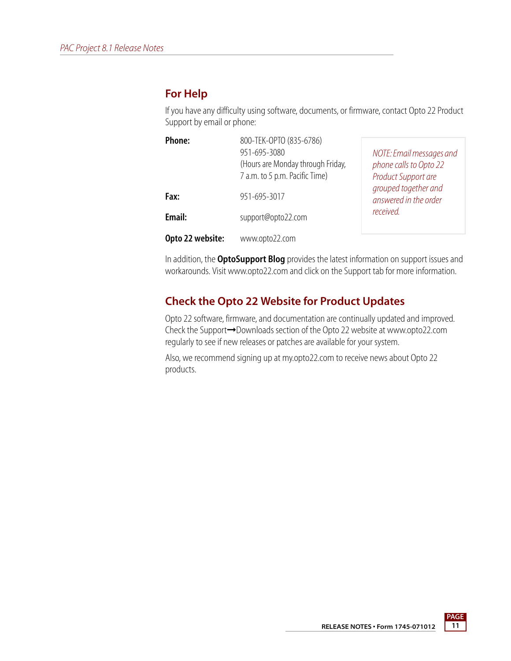### <span id="page-10-0"></span>**For Help**

If you have any difficulty using software, documents, or firmware, contact Opto 22 Product Support by email or phone:

| Phone:           | 800-TEK-OPTO (835-6786)<br>951-695-3080<br>(Hours are Monday through Friday,<br>7 a.m. to 5 p.m. Pacific Time) | NOTE: Email messages and<br>phone calls to Opto 22<br>Product Support are |
|------------------|----------------------------------------------------------------------------------------------------------------|---------------------------------------------------------------------------|
| Fax:             | 951-695-3017                                                                                                   | grouped together and<br>answered in the order                             |
| Email:           | support@opto22.com                                                                                             | received.                                                                 |
| Opto 22 website: | www.opto22.com                                                                                                 |                                                                           |

In addition, the **OptoSupport Blog** provides the latest information on support issues and workarounds. Visit www.opto22.com and click on the Support tab for more information.

## **Check the Opto 22 Website for Product Updates**

Opto 22 software, firmware, and documentation are continually updated and improved. Check the Support➞Downloads section of the Opto 22 website at www.opto22.com regularly to see if new releases or patches are available for your system.

Also, we recommend signing up at my.opto22.com to receive news about Opto 22 products.